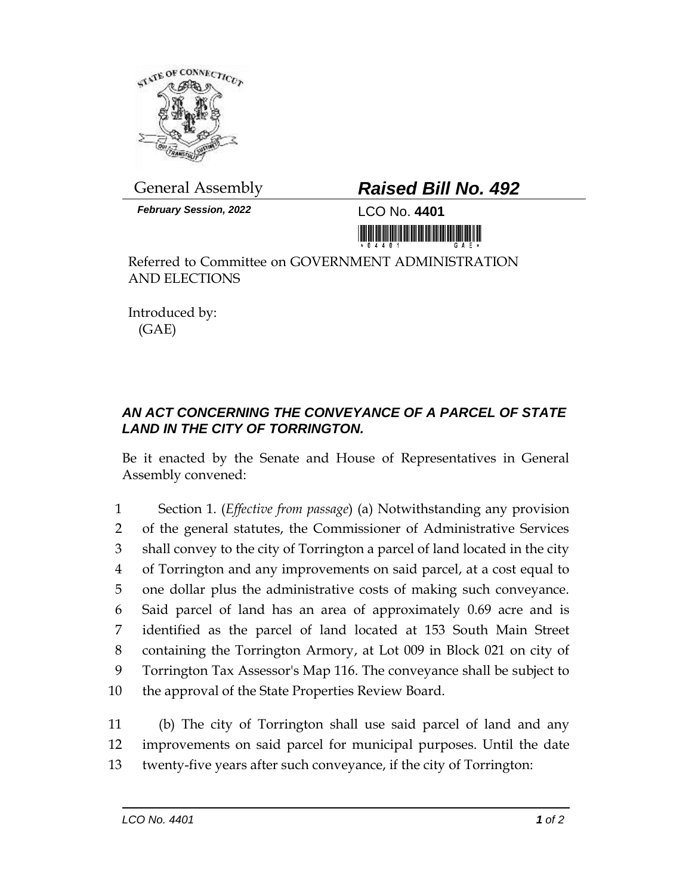

## General Assembly *Raised Bill No. 492*

*February Session, 2022* LCO No. **4401**



Referred to Committee on GOVERNMENT ADMINISTRATION AND ELECTIONS

Introduced by: (GAE)

## *AN ACT CONCERNING THE CONVEYANCE OF A PARCEL OF STATE LAND IN THE CITY OF TORRINGTON.*

Be it enacted by the Senate and House of Representatives in General Assembly convened:

 Section 1. (*Effective from passage*) (a) Notwithstanding any provision of the general statutes, the Commissioner of Administrative Services shall convey to the city of Torrington a parcel of land located in the city of Torrington and any improvements on said parcel, at a cost equal to one dollar plus the administrative costs of making such conveyance. Said parcel of land has an area of approximately 0.69 acre and is identified as the parcel of land located at 153 South Main Street containing the Torrington Armory, at Lot 009 in Block 021 on city of Torrington Tax Assessor's Map 116. The conveyance shall be subject to the approval of the State Properties Review Board.

11 (b) The city of Torrington shall use said parcel of land and any 12 improvements on said parcel for municipal purposes. Until the date 13 twenty-five years after such conveyance, if the city of Torrington: